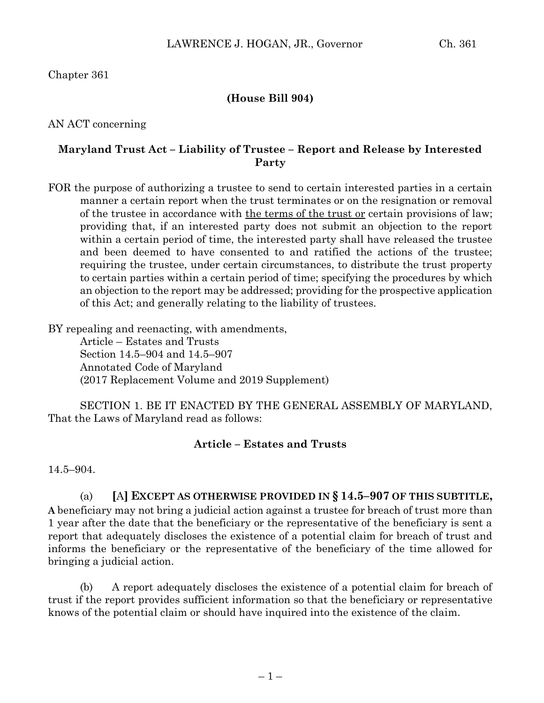Chapter 361

### **(House Bill 904)**

AN ACT concerning

### **Maryland Trust Act – Liability of Trustee – Report and Release by Interested Party**

FOR the purpose of authorizing a trustee to send to certain interested parties in a certain manner a certain report when the trust terminates or on the resignation or removal of the trustee in accordance with the terms of the trust or certain provisions of law; providing that, if an interested party does not submit an objection to the report within a certain period of time, the interested party shall have released the trustee and been deemed to have consented to and ratified the actions of the trustee; requiring the trustee, under certain circumstances, to distribute the trust property to certain parties within a certain period of time; specifying the procedures by which an objection to the report may be addressed; providing for the prospective application of this Act; and generally relating to the liability of trustees.

BY repealing and reenacting, with amendments,

Article – Estates and Trusts Section 14.5–904 and 14.5–907 Annotated Code of Maryland (2017 Replacement Volume and 2019 Supplement)

SECTION 1. BE IT ENACTED BY THE GENERAL ASSEMBLY OF MARYLAND, That the Laws of Maryland read as follows:

#### **Article – Estates and Trusts**

14.5–904.

# (a) **[**A**] EXCEPT AS OTHERWISE PROVIDED IN § 14.5–907 OF THIS SUBTITLE,**

**A** beneficiary may not bring a judicial action against a trustee for breach of trust more than 1 year after the date that the beneficiary or the representative of the beneficiary is sent a report that adequately discloses the existence of a potential claim for breach of trust and informs the beneficiary or the representative of the beneficiary of the time allowed for bringing a judicial action.

(b) A report adequately discloses the existence of a potential claim for breach of trust if the report provides sufficient information so that the beneficiary or representative knows of the potential claim or should have inquired into the existence of the claim.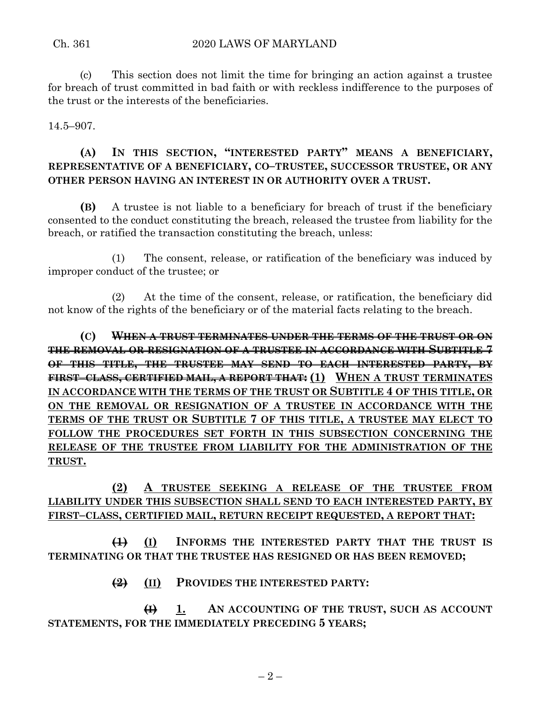(c) This section does not limit the time for bringing an action against a trustee for breach of trust committed in bad faith or with reckless indifference to the purposes of the trust or the interests of the beneficiaries.

14.5–907.

## **(A) IN THIS SECTION, "INTERESTED PARTY" MEANS A BENEFICIARY, REPRESENTATIVE OF A BENEFICIARY, CO–TRUSTEE, SUCCESSOR TRUSTEE, OR ANY OTHER PERSON HAVING AN INTEREST IN OR AUTHORITY OVER A TRUST.**

**(B)** A trustee is not liable to a beneficiary for breach of trust if the beneficiary consented to the conduct constituting the breach, released the trustee from liability for the breach, or ratified the transaction constituting the breach, unless:

(1) The consent, release, or ratification of the beneficiary was induced by improper conduct of the trustee; or

(2) At the time of the consent, release, or ratification, the beneficiary did not know of the rights of the beneficiary or of the material facts relating to the breach.

**(C) WHEN A TRUST TERMINATES UNDER THE TERMS OF THE TRUST OR ON THE REMOVAL OR RESIGNATION OF A TRUSTEE IN ACCORDANCE WITH SUBTITLE 7 OF THIS TITLE, THE TRUSTEE MAY SEND TO EACH INTERESTED PARTY, BY FIRST–CLASS, CERTIFIED MAIL, A REPORT THAT: (1) WHEN A TRUST TERMINATES IN ACCORDANCE WITH THE TERMS OF THE TRUST OR SUBTITLE 4 OF THIS TITLE, OR ON THE REMOVAL OR RESIGNATION OF A TRUSTEE IN ACCORDANCE WITH THE TERMS OF THE TRUST OR SUBTITLE 7 OF THIS TITLE, A TRUSTEE MAY ELECT TO FOLLOW THE PROCEDURES SET FORTH IN THIS SUBSECTION CONCERNING THE RELEASE OF THE TRUSTEE FROM LIABILITY FOR THE ADMINISTRATION OF THE TRUST.**

## **(2) A TRUSTEE SEEKING A RELEASE OF THE TRUSTEE FROM LIABILITY UNDER THIS SUBSECTION SHALL SEND TO EACH INTERESTED PARTY, BY FIRST–CLASS, CERTIFIED MAIL, RETURN RECEIPT REQUESTED, A REPORT THAT:**

**(1) (I) INFORMS THE INTERESTED PARTY THAT THE TRUST IS TERMINATING OR THAT THE TRUSTEE HAS RESIGNED OR HAS BEEN REMOVED;**

**(2) (II) PROVIDES THE INTERESTED PARTY:**

**(I) 1. AN ACCOUNTING OF THE TRUST, SUCH AS ACCOUNT STATEMENTS, FOR THE IMMEDIATELY PRECEDING 5 YEARS;**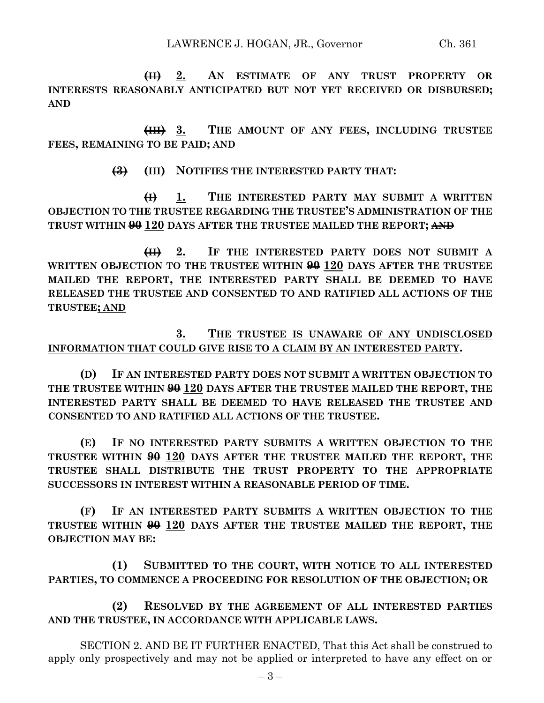**(II) 2. AN ESTIMATE OF ANY TRUST PROPERTY OR INTERESTS REASONABLY ANTICIPATED BUT NOT YET RECEIVED OR DISBURSED; AND**

**(III) 3. THE AMOUNT OF ANY FEES, INCLUDING TRUSTEE FEES, REMAINING TO BE PAID; AND**

**(3) (III) NOTIFIES THE INTERESTED PARTY THAT:**

**(I) 1. THE INTERESTED PARTY MAY SUBMIT A WRITTEN OBJECTION TO THE TRUSTEE REGARDING THE TRUSTEE'S ADMINISTRATION OF THE TRUST WITHIN 90 120 DAYS AFTER THE TRUSTEE MAILED THE REPORT; AND**

**(II) 2. IF THE INTERESTED PARTY DOES NOT SUBMIT A WRITTEN OBJECTION TO THE TRUSTEE WITHIN 90 120 DAYS AFTER THE TRUSTEE MAILED THE REPORT, THE INTERESTED PARTY SHALL BE DEEMED TO HAVE RELEASED THE TRUSTEE AND CONSENTED TO AND RATIFIED ALL ACTIONS OF THE TRUSTEE; AND**

### **3. THE TRUSTEE IS UNAWARE OF ANY UNDISCLOSED INFORMATION THAT COULD GIVE RISE TO A CLAIM BY AN INTERESTED PARTY.**

**(D) IF AN INTERESTED PARTY DOES NOT SUBMIT A WRITTEN OBJECTION TO THE TRUSTEE WITHIN 90 120 DAYS AFTER THE TRUSTEE MAILED THE REPORT, THE INTERESTED PARTY SHALL BE DEEMED TO HAVE RELEASED THE TRUSTEE AND CONSENTED TO AND RATIFIED ALL ACTIONS OF THE TRUSTEE.**

**(E) IF NO INTERESTED PARTY SUBMITS A WRITTEN OBJECTION TO THE TRUSTEE WITHIN 90 120 DAYS AFTER THE TRUSTEE MAILED THE REPORT, THE TRUSTEE SHALL DISTRIBUTE THE TRUST PROPERTY TO THE APPROPRIATE SUCCESSORS IN INTEREST WITHIN A REASONABLE PERIOD OF TIME.**

**(F) IF AN INTERESTED PARTY SUBMITS A WRITTEN OBJECTION TO THE TRUSTEE WITHIN 90 120 DAYS AFTER THE TRUSTEE MAILED THE REPORT, THE OBJECTION MAY BE:**

**(1) SUBMITTED TO THE COURT, WITH NOTICE TO ALL INTERESTED PARTIES, TO COMMENCE A PROCEEDING FOR RESOLUTION OF THE OBJECTION; OR**

**(2) RESOLVED BY THE AGREEMENT OF ALL INTERESTED PARTIES AND THE TRUSTEE, IN ACCORDANCE WITH APPLICABLE LAWS.**

SECTION 2. AND BE IT FURTHER ENACTED, That this Act shall be construed to apply only prospectively and may not be applied or interpreted to have any effect on or